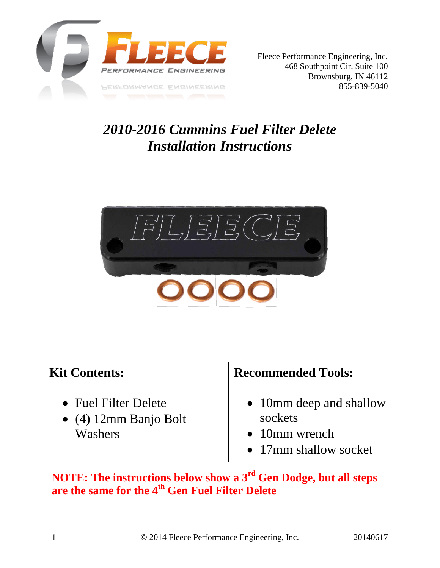

## *2010-2016 Cummins Fuel Filter Delete Installation Instructions*



## **Kit Contents:**

- Fuel Filter Delete
- (4) 12mm Banjo Bolt Washers

## **Recommended Tools:**

- 10mm deep and shallow sockets
- 10mm wrench
- 17mm shallow socket

**NOTE: The instructions below show a 3rd Gen Dodge, but all steps are the same for the 4th Gen Fuel Filter Delete**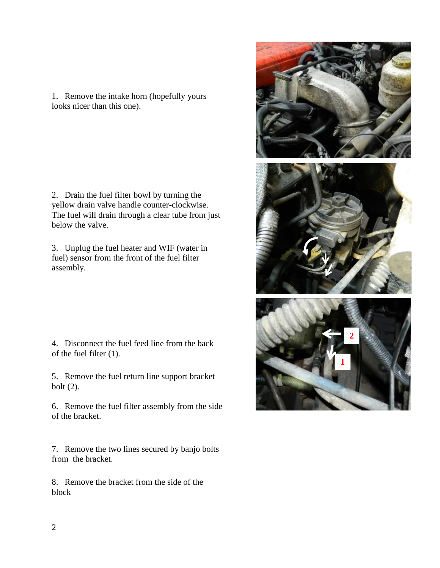1. Remove the intake horn (hopefully yours looks nicer than this one).

2. Drain the fuel filter bowl by turning the yellow drain valve handle counter-clockwise. The fuel will drain through a clear tube from just below the valve.

3. Unplug the fuel heater and WIF (water in fuel) sensor from the front of the fuel filter assembly.

4. Disconnect the fuel feed line from the back of the fuel filter (1).

5. Remove the fuel return line support bracket bolt (2).

6. Remove the fuel filter assembly from the side of the bracket.

7. Remove the two lines secured by banjo bolts from the bracket.

8. Remove the bracket from the side of the block